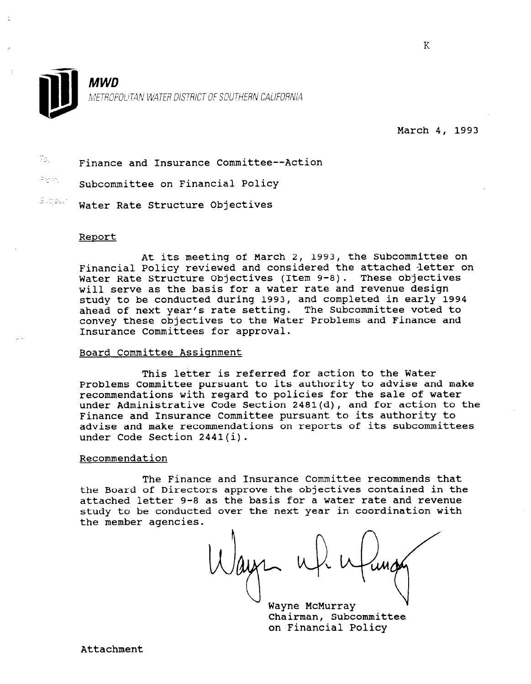

March 4, 1993

 $\bar{P}$ . Finance and Insurance Committee--Action For. Subcommittee on Financial Policy  $S$  . giable  $\sim$ Water Rate Structure Objectives

#### Report

At its meeting of March 2, 1993, the Subcommittee on Financial Policy reviewed and considered the attached letter on Water Rate Structure Objectives (Item 9-8). These objectives will serve as the basis for a water rate and revenue design study to be conducted during 1993, and completed in early 1994 ahead of next year's rate setting. The Subcommittee voted to convey these objectives to the Water Problems and Finance and Insurance Committees for approval.

## Board Committee Assignment

This letter is referred for action to the Water Problems Committee pursuant to its authority to advise and make recommendations with regard to policies for the sale of water under Administrative Code Section 2481(d), and for action to the Finance and Insurance Committee pursuant to its authority to advise and make recommendations on reports of its subcommittees under Code Section 2441(i).

### Recommendation

The Finance and Insurance Committee recommends that the Board of Directors approve the objectives contained in the attached letter 9-8 as the basis for a water rate and revenue study to be conducted over the next year in coordination with the member agencies.

Wayne McMurray Chairman, Subcommittee on Financial Policy

K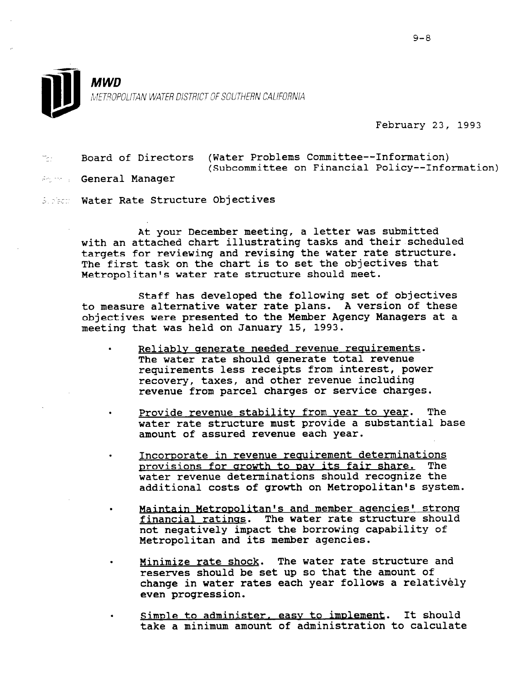

February 23, 1993

-\_. Board of Directors (Water Problems Committee--Information) (Subcommittee on Financial Policy--Information)

**ing the General Manager** 

5. Sect. Water Rate Structure Objectives

At your December meeting, a letter was submitted with an attached chart illustrating tasks and their scheduled targets for reviewing and revising the water rate structure. The first task on the chart is to set the objectives that Metropolitan's water rate structure should meet.

Staff has developed the following set of objectives to measure alternative water rate plans. A version of these objectives were presented to the Member Agency Managers at a meeting that was held on January 15, 1993.

- Reliably generate needed revenue requirements. The water rate should generate total revenue requirements less receipts from interest, power recovery, taxes, and other revenue including revenue from parcel charges or service charges.
- Provide revenue stability from year to year. The water rate structure must provide a substantial base amount of assured revenue each year.
- . Incorporate in revenue requirement determinations provisions for arowth to pav its fair share. The water revenue determinations should recognize the additional costs of growth on Metropolitan's system.
- Maintain Metropolitan's and member agencies' strong financial ratinqs. The water rate structure should not negatively impact the borrowing capability of Metropolitan and its member agencies.
- Minimize rate shock. The water rate structure and reserves should be set up so that the amount of change in water rates each year follows a relative enange in wate
- . SimDle to administer, easv to imnlement. It should simple to administer, easy to implement. It shou.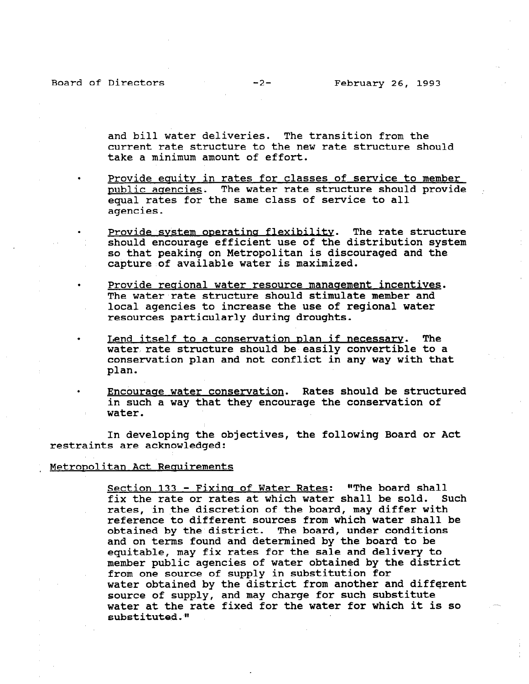Board of Directors -2- February 26, 1993

and bill water deliveries. The transition from the current rate structure to the new rate structure should take a minimum amount of effort.

- Provide equity in rates for classes of service to member public agencies. The water rate structure should provide equal rates for the same class of service to all agencies.
- Provide system operating flexibility. The rate structure should encourage efficient use of the distribution system so that peaking on Metropolitan is discouraged and the capture of available water is maximized.
- Provide regional water resource management incentives. The water rate structure should stimulate member and local agencies to increase the use of regional water resources particularly during droughts.
- Lend itself to a conservation plan if necessary. The water rate structure should be easily convertible to a conservation plan and not conflict in any way with that plan.
	- . Encouraae water conservation. Rates should be structured in such a way that they encourage the conservation of water.

In developing the objectives, the following Board or Act restraints are acknowledged:

#### Metropolitan Act Requirements

Section 133 - Fixing of Water Rates: "The board shall fix the rate or rates at which water shall be sold. Such rates, in the discretion of the board, may differ with reference to different sources from which water shall be obtained by the district. The board, under conditions and on terms found and determined by the board to be equitable, may fix rates for the sale and delivery to equitable, may fix rates for the sale and delivery to<br>member public agencies of water obtained by the district from one source of supply in substitution for ITOM ONE SOUICE OI SUPPLY IN SUDSCILULION IOI<br>water ship ined by the district from another and different water obtained by the district from another and d<br>source of supply, and may change for such substitu source of supply, and may charge for such substitute<br>water at the wate fixed for the water for which it is so water at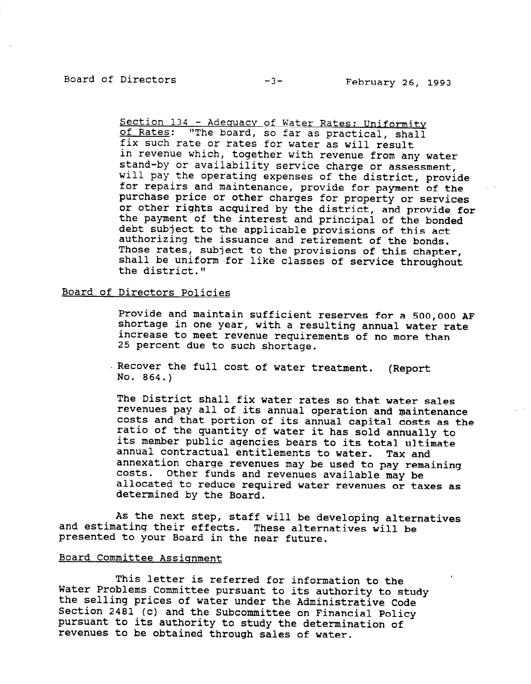Section 134 - Adequacy of Water Rates; Uniformity of Rates: "The board, so far as practical, shall fix such rate or rates for water as will result in revenue which, together with revenue from any water stand-by or availability service charge or assessment, will pay the operating expenses of the district, provide for repairs and maintenance, provide for payment of the purchase price or other charges for property or services or other rights acquired by the district, and provide for the payment of the interest and principal of the bonded debt subject to the applicable provisions of this act authorizing the issuance and retirement of the bonds. Those rates, subject to the provisions of this chapter, shall be uniform for like classes of service throughout the district."

# Board of Directors Policies

Provide and maintain sufficient reserves for a 500,000 AF shortage in one year, with a resulting annual water rate increase to meet revenue requirements of no more than 25 percent due to such shortage.

Recover the full cost of water treatment. (Report No. 864.)

The District shall fix water rates so that water sales revenues pay all of its annual operation and maintenance costs and that portion of its annual capital costs as the ratio of the quantity of water it has sold annually to its member public agencies bears to its total ultimate annual contractual entitlements to water. Tax and annexation charge revenues may be used to pay remaining costs. Other funds and revenues available may be allocated to reduce required water revenues or taxes as determined by the Board.

As the next step, staff will be developing alternatives and estimating their effects. These alternatives will be presented to your Board in the near future.

## Board Committee Assianment

This letter is referred for information to the Water Problems Committee pursuant to its authority to the nater irosiths committee pursuant to its authority to stu Section 2481 (c) and the Subcommittee on Financial Policy pursuant to its authority to study the determination of pursuant to its authority to study the determination of<br>revenues to be obtained through sales of water.